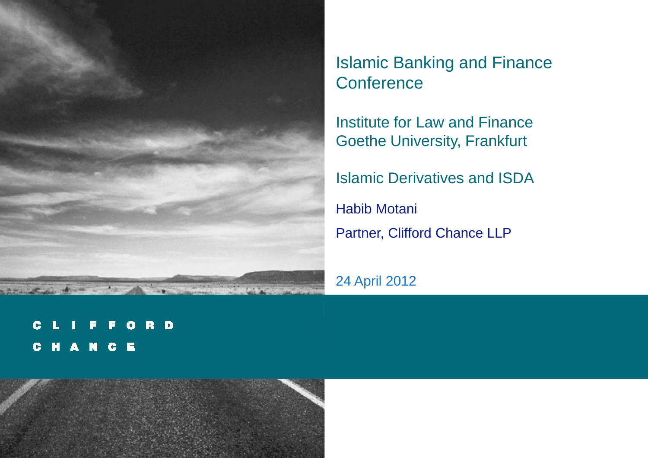

Islamic Banking and Finance **Conference** 

Institute for Law and FinanceGoethe University, Frankfurt

Islamic Derivatives and ISDA

Habib MotaniPartner, Clifford Chance LLP

24 April 2012

ORD C E G CHANCE

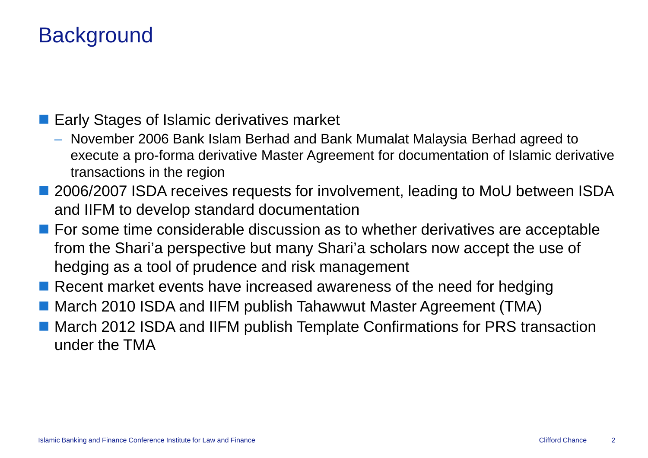# **Background**

**Early Stages of Islamic derivatives market** 

- November 2006 Bank Islam Berhad and Bank Mumalat Malaysia Berhad agreed to execute a pro-forma derivative Master Agreement for documentation of Islamic derivative transactions in the region
- 2006/2007 ISDA receives requests for involvement, leading to MoU between ISDA and IIFM to develop standard documentation
- For some time considerable discussion as to whether derivatives are acceptable  $\overline{\phantom{a}}$ from the Shari'a perspective but many Shari'a scholars now accept the use of hedging as a tool of prudence and risk management
- Recent market events have increased awareness of the need for hedging
- March 2010 ISDA and IIFM publish Tahawwut Master Agreement (TMA)
- March 2012 ISDA and IIFM publish Template Confirmations for PRS transaction under the TMA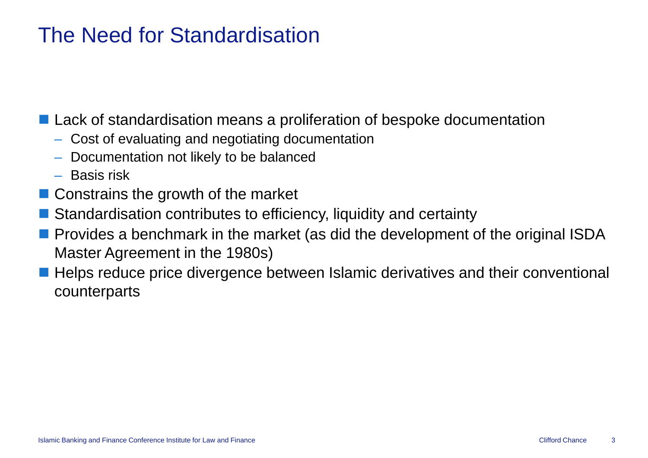## The Need for Standardisation

**Lack of standardisation means a proliferation of bespoke documentation** 

- Cost of evaluating and negotiating documentation
- Documentation not likely to be balanced
- Basis risk
- Constrains the growth of the market
- Standardisation contributes to efficiency, liquidity and certainty
- **Provides a benchmark in the market (as did the development of the original ISDA** Master Agreement in the 1980s)
- Helps reduce price divergence between Islamic derivatives and their conventional<br>counterparts counterparts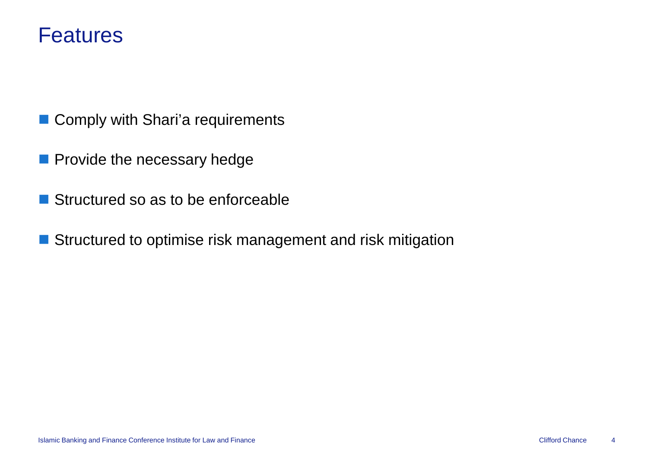#### Features

- Comply with Shari'a requirements
- **Provide the necessary hedge**
- Structured so as to be enforceable
- Structured to optimise risk management and risk mitigation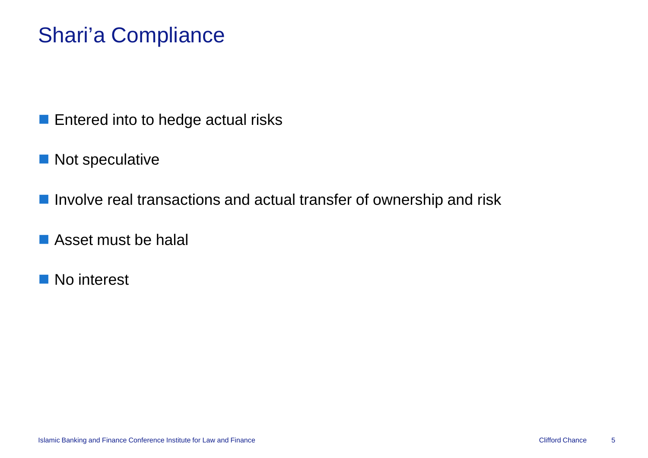# Shari'a Compliance

- **Entered into to hedge actual risks**
- **Not speculative**
- **Involve real transactions and actual transfer of ownership and risk**
- **Asset must be halal**
- No interest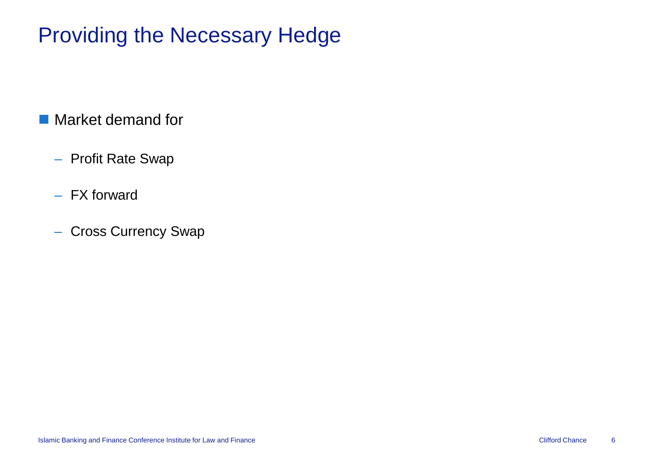# Providing the Necessary Hedge

# ■ Market demand for

- Profit Rate Swap
- FX forward
- Cross Currency Swap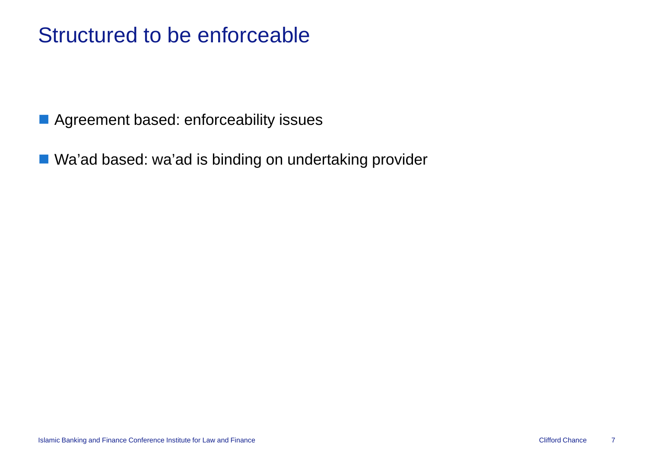## Structured to be enforceable

**Agreement based: enforceability issues** 

■ Wa'ad based: wa'ad is binding on undertaking provider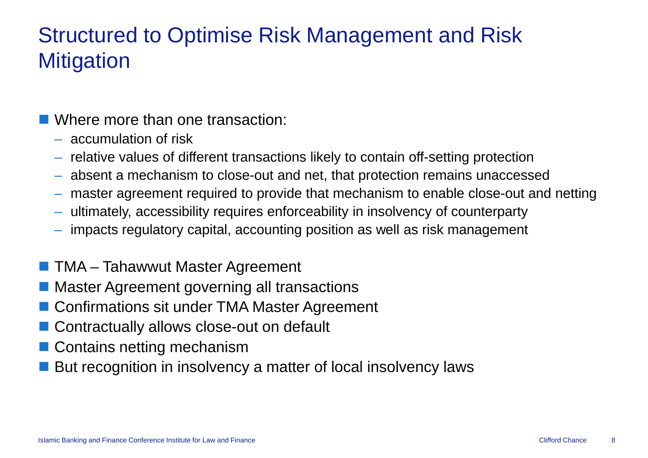# Structured to Optimise Risk Management and Risk **Mitigation**

# **Notative more than one transaction:**

- accumulation of risk
- $-$  relative values of different transactions likely to contain off-setting protection
- absent a mechanism to close-out and net, that protection remains unaccessed
- absent a mechanism to close-out and net, that protection remains unaccessed<br>– master agreement required to provide that mechanism to enable close-out and netting
- –ultimately, accessibility requires enforceability in insolvency of counterparty
- impacts regulatory capital, accounting position as well as risk management
- **TMA Tahawwut Master Agreement**
- **Master Agreement governing all transactions**
- Confirmations sit under TMA Master Agreement
- Contractually allows close-out on default
- Contains netting mechanism
- But recognition in insolvency a matter of local insolvency laws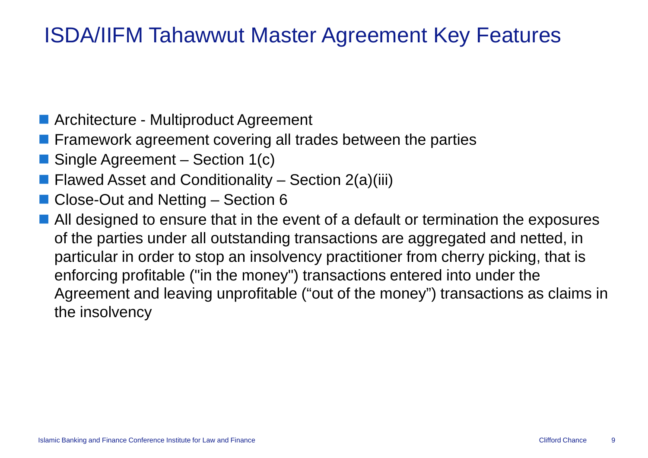# ISDA/IIFM Tahawwut Master Agreement Key Features

- Architecture Multiproduct Agreement
- **Firamework agreement covering all trades between the parties**
- Single Agreement – Section 1(c)
- Flawed Asset and Conditionality Section 2(a)(iii)
- Close-Out and Netting Section 6
- All designed to ensure that in the event of a default or termination the exposures  $\mathbf{A}$ of the parties under all outstanding transactions are aggregated and netted, in particular in order to stop an insolvency practitioner from cherry picking, that is enforcing profitable ("in the money") transactions entered into under the Agreement and leaving unprofitable ("out of the money") transactions as claims in the insolvency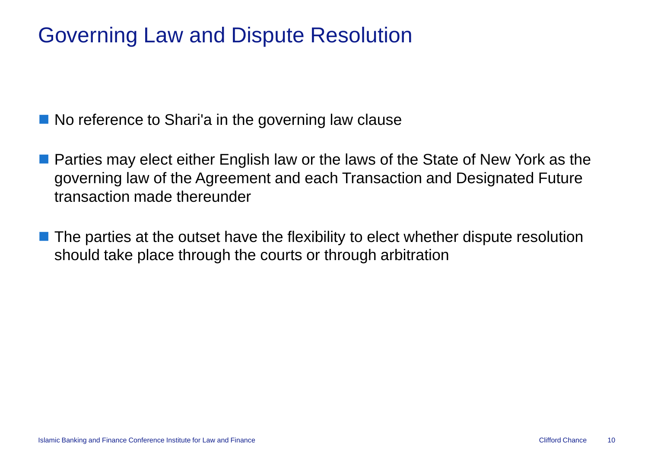# Governing Law and Dispute Resolution

No reference to Shari'a in the governing law clause

- **Parties may elect either English law or the laws of the State of New York as the State of New York as the State of Times** governing law of the Agreement and each Transaction and Designated Future transaction made thereunder
- The parties at the outset have the flexibility to elect whether dispute resolution should take place through the courts or through arbitration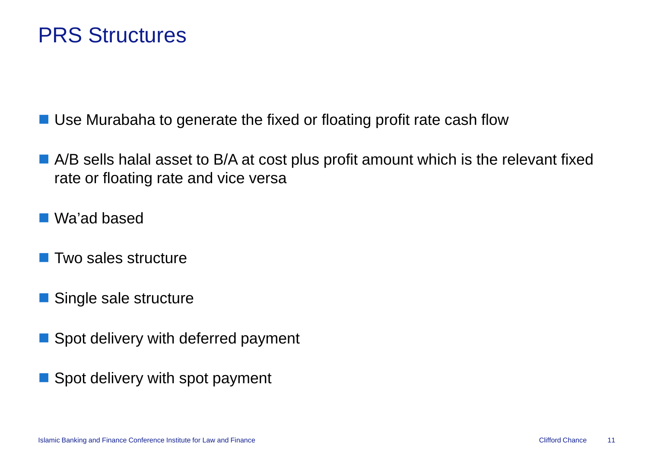### PRS Structures

■ Use Murabaha to generate the fixed or floating profit rate cash flow

- $\blacksquare$  A/B sells halal asset to B/A at cost plus profit amount which is the relevant fixed rate or floating rate and vice versa
- Wa'ad based
- **T** Two sales structure
- Single sale structure
- Spot delivery with deferred payment
- Spot delivery with spot payment